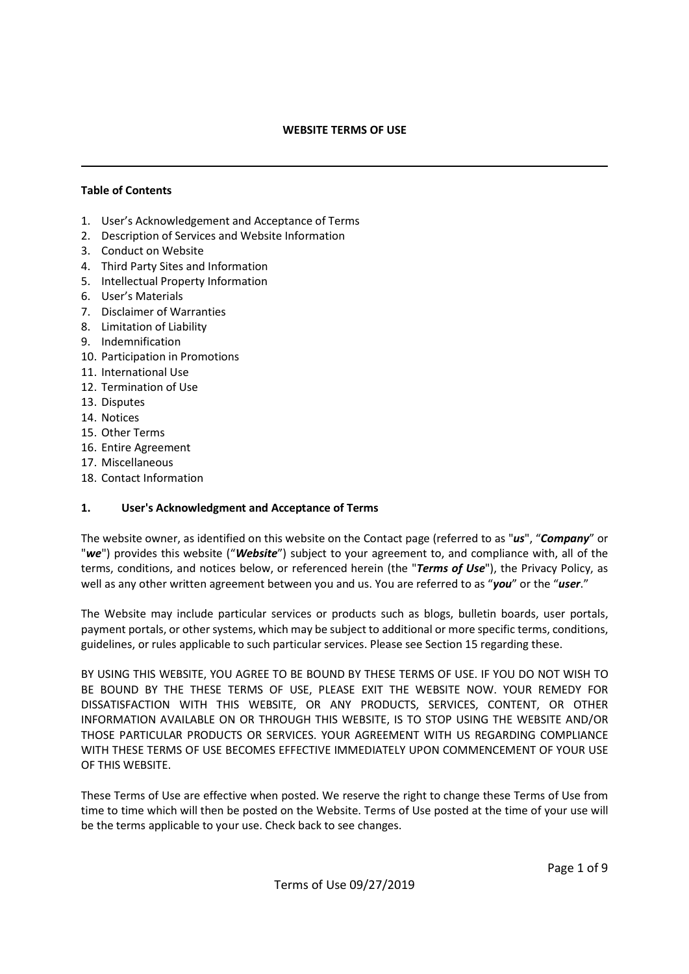#### WEBSITE TERMS OF USE

#### Table of Contents

 $\overline{a}$ 

- 1. User's Acknowledgement and Acceptance of Terms
- 2. Description of Services and Website Information
- 3. Conduct on Website
- 4. Third Party Sites and Information
- 5. Intellectual Property Information
- 6. User's Materials
- 7. Disclaimer of Warranties
- 8. Limitation of Liability
- 9. Indemnification
- 10. Participation in Promotions
- 11. International Use
- 12. Termination of Use
- 13. Disputes
- 14. Notices
- 15. Other Terms
- 16. Entire Agreement
- 17. Miscellaneous
- 18. Contact Information

#### 1. User's Acknowledgment and Acceptance of Terms

The website owner, as identified on this website on the Contact page (referred to as "us", "Company" or "we") provides this website ("Website") subject to your agreement to, and compliance with, all of the terms, conditions, and notices below, or referenced herein (the "Terms of Use"), the Privacy Policy, as well as any other written agreement between you and us. You are referred to as "you" or the "user."

The Website may include particular services or products such as blogs, bulletin boards, user portals, payment portals, or other systems, which may be subject to additional or more specific terms, conditions, guidelines, or rules applicable to such particular services. Please see Section 15 regarding these.

BY USING THIS WEBSITE, YOU AGREE TO BE BOUND BY THESE TERMS OF USE. IF YOU DO NOT WISH TO BE BOUND BY THE THESE TERMS OF USE, PLEASE EXIT THE WEBSITE NOW. YOUR REMEDY FOR DISSATISFACTION WITH THIS WEBSITE, OR ANY PRODUCTS, SERVICES, CONTENT, OR OTHER INFORMATION AVAILABLE ON OR THROUGH THIS WEBSITE, IS TO STOP USING THE WEBSITE AND/OR THOSE PARTICULAR PRODUCTS OR SERVICES. YOUR AGREEMENT WITH US REGARDING COMPLIANCE WITH THESE TERMS OF USE BECOMES EFFECTIVE IMMEDIATELY UPON COMMENCEMENT OF YOUR USE OF THIS WEBSITE.

These Terms of Use are effective when posted. We reserve the right to change these Terms of Use from time to time which will then be posted on the Website. Terms of Use posted at the time of your use will be the terms applicable to your use. Check back to see changes.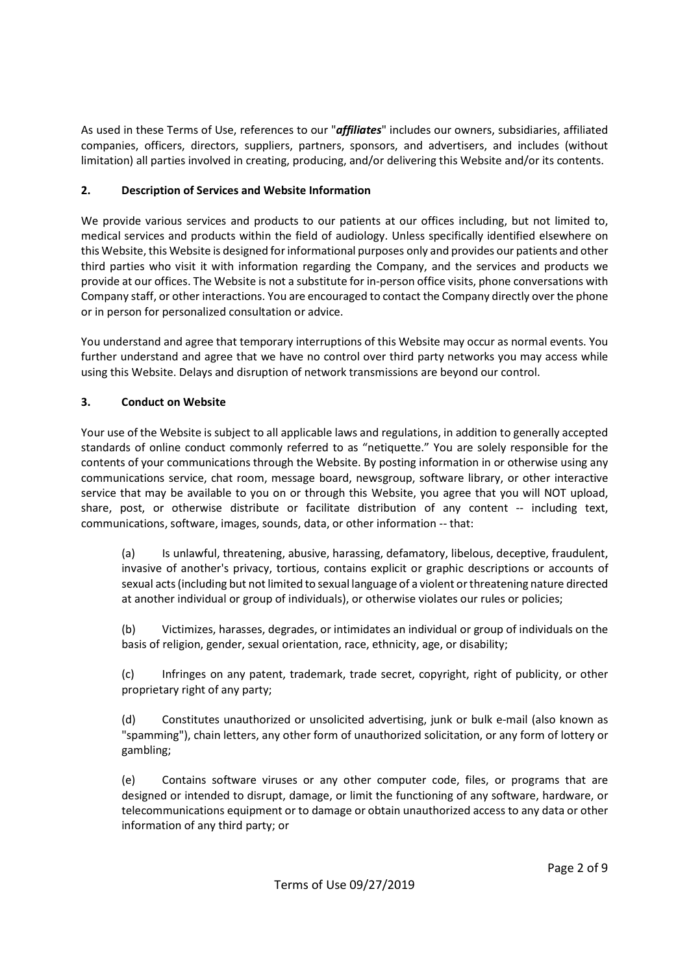As used in these Terms of Use, references to our "*affiliates*" includes our owners, subsidiaries, affiliated companies, officers, directors, suppliers, partners, sponsors, and advertisers, and includes (without limitation) all parties involved in creating, producing, and/or delivering this Website and/or its contents.

# 2. Description of Services and Website Information

We provide various services and products to our patients at our offices including, but not limited to, medical services and products within the field of audiology. Unless specifically identified elsewhere on this Website, this Website is designed for informational purposes only and provides our patients and other third parties who visit it with information regarding the Company, and the services and products we provide at our offices. The Website is not a substitute for in-person office visits, phone conversations with Company staff, or other interactions. You are encouraged to contact the Company directly over the phone or in person for personalized consultation or advice.

You understand and agree that temporary interruptions of this Website may occur as normal events. You further understand and agree that we have no control over third party networks you may access while using this Website. Delays and disruption of network transmissions are beyond our control.

# 3. Conduct on Website

Your use of the Website is subject to all applicable laws and regulations, in addition to generally accepted standards of online conduct commonly referred to as "netiquette." You are solely responsible for the contents of your communications through the Website. By posting information in or otherwise using any communications service, chat room, message board, newsgroup, software library, or other interactive service that may be available to you on or through this Website, you agree that you will NOT upload, share, post, or otherwise distribute or facilitate distribution of any content -- including text, communications, software, images, sounds, data, or other information -- that:

(a) Is unlawful, threatening, abusive, harassing, defamatory, libelous, deceptive, fraudulent, invasive of another's privacy, tortious, contains explicit or graphic descriptions or accounts of sexual acts (including but not limited to sexual language of a violent or threatening nature directed at another individual or group of individuals), or otherwise violates our rules or policies;

(b) Victimizes, harasses, degrades, or intimidates an individual or group of individuals on the basis of religion, gender, sexual orientation, race, ethnicity, age, or disability;

(c) Infringes on any patent, trademark, trade secret, copyright, right of publicity, or other proprietary right of any party;

(d) Constitutes unauthorized or unsolicited advertising, junk or bulk e-mail (also known as "spamming"), chain letters, any other form of unauthorized solicitation, or any form of lottery or gambling;

(e) Contains software viruses or any other computer code, files, or programs that are designed or intended to disrupt, damage, or limit the functioning of any software, hardware, or telecommunications equipment or to damage or obtain unauthorized access to any data or other information of any third party; or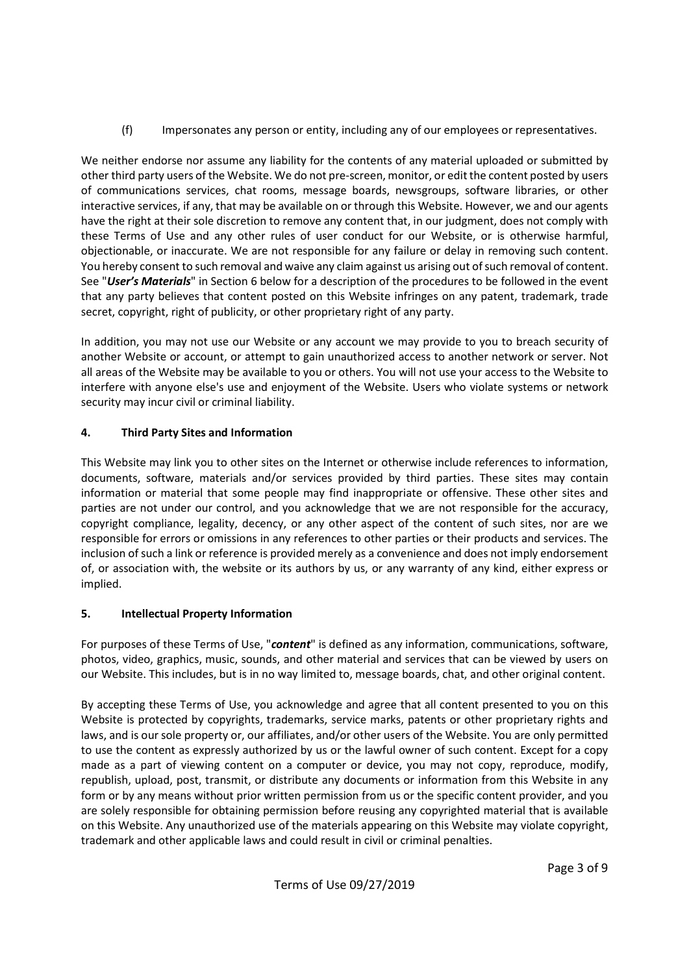(f) Impersonates any person or entity, including any of our employees or representatives.

We neither endorse nor assume any liability for the contents of any material uploaded or submitted by other third party users of the Website. We do not pre-screen, monitor, or edit the content posted by users of communications services, chat rooms, message boards, newsgroups, software libraries, or other interactive services, if any, that may be available on or through this Website. However, we and our agents have the right at their sole discretion to remove any content that, in our judgment, does not comply with these Terms of Use and any other rules of user conduct for our Website, or is otherwise harmful, objectionable, or inaccurate. We are not responsible for any failure or delay in removing such content. You hereby consent to such removal and waive any claim against us arising out of such removal of content. See "User's Materials" in Section 6 below for a description of the procedures to be followed in the event that any party believes that content posted on this Website infringes on any patent, trademark, trade secret, copyright, right of publicity, or other proprietary right of any party.

In addition, you may not use our Website or any account we may provide to you to breach security of another Website or account, or attempt to gain unauthorized access to another network or server. Not all areas of the Website may be available to you or others. You will not use your access to the Website to interfere with anyone else's use and enjoyment of the Website. Users who violate systems or network security may incur civil or criminal liability.

# 4. Third Party Sites and Information

This Website may link you to other sites on the Internet or otherwise include references to information, documents, software, materials and/or services provided by third parties. These sites may contain information or material that some people may find inappropriate or offensive. These other sites and parties are not under our control, and you acknowledge that we are not responsible for the accuracy, copyright compliance, legality, decency, or any other aspect of the content of such sites, nor are we responsible for errors or omissions in any references to other parties or their products and services. The inclusion of such a link or reference is provided merely as a convenience and does not imply endorsement of, or association with, the website or its authors by us, or any warranty of any kind, either express or implied.

## 5. Intellectual Property Information

For purposes of these Terms of Use, "content" is defined as any information, communications, software, photos, video, graphics, music, sounds, and other material and services that can be viewed by users on our Website. This includes, but is in no way limited to, message boards, chat, and other original content.

By accepting these Terms of Use, you acknowledge and agree that all content presented to you on this Website is protected by copyrights, trademarks, service marks, patents or other proprietary rights and laws, and is our sole property or, our affiliates, and/or other users of the Website. You are only permitted to use the content as expressly authorized by us or the lawful owner of such content. Except for a copy made as a part of viewing content on a computer or device, you may not copy, reproduce, modify, republish, upload, post, transmit, or distribute any documents or information from this Website in any form or by any means without prior written permission from us or the specific content provider, and you are solely responsible for obtaining permission before reusing any copyrighted material that is available on this Website. Any unauthorized use of the materials appearing on this Website may violate copyright, trademark and other applicable laws and could result in civil or criminal penalties.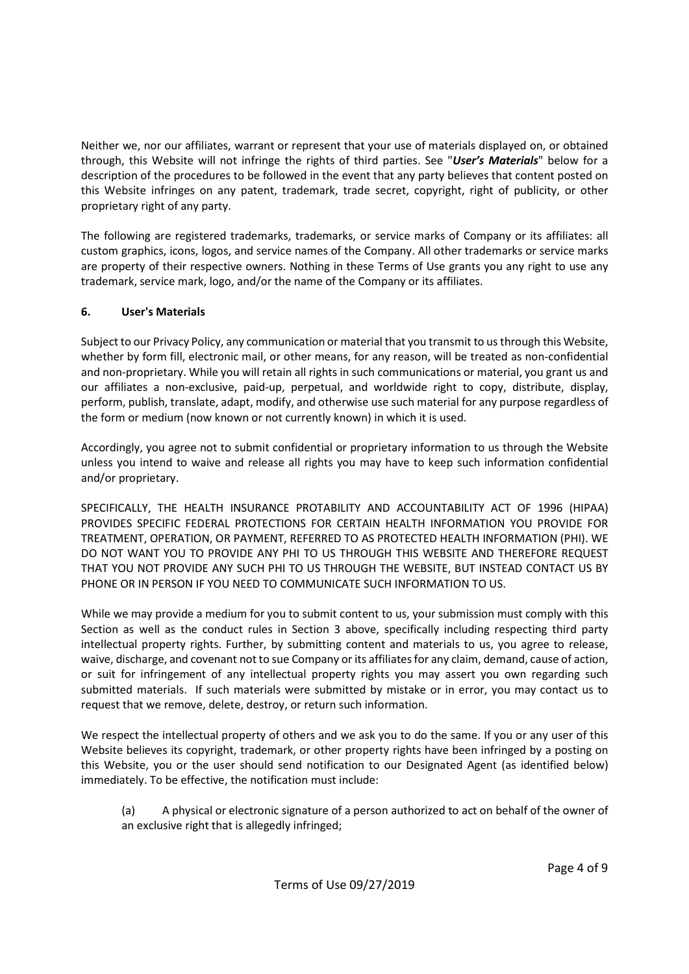Neither we, nor our affiliates, warrant or represent that your use of materials displayed on, or obtained through, this Website will not infringe the rights of third parties. See "User's Materials" below for a description of the procedures to be followed in the event that any party believes that content posted on this Website infringes on any patent, trademark, trade secret, copyright, right of publicity, or other proprietary right of any party.

The following are registered trademarks, trademarks, or service marks of Company or its affiliates: all custom graphics, icons, logos, and service names of the Company. All other trademarks or service marks are property of their respective owners. Nothing in these Terms of Use grants you any right to use any trademark, service mark, logo, and/or the name of the Company or its affiliates.

## 6. User's Materials

Subject to our Privacy Policy, any communication or material that you transmit to us through this Website, whether by form fill, electronic mail, or other means, for any reason, will be treated as non-confidential and non-proprietary. While you will retain all rights in such communications or material, you grant us and our affiliates a non-exclusive, paid-up, perpetual, and worldwide right to copy, distribute, display, perform, publish, translate, adapt, modify, and otherwise use such material for any purpose regardless of the form or medium (now known or not currently known) in which it is used.

Accordingly, you agree not to submit confidential or proprietary information to us through the Website unless you intend to waive and release all rights you may have to keep such information confidential and/or proprietary.

SPECIFICALLY, THE HEALTH INSURANCE PROTABILITY AND ACCOUNTABILITY ACT OF 1996 (HIPAA) PROVIDES SPECIFIC FEDERAL PROTECTIONS FOR CERTAIN HEALTH INFORMATION YOU PROVIDE FOR TREATMENT, OPERATION, OR PAYMENT, REFERRED TO AS PROTECTED HEALTH INFORMATION (PHI). WE DO NOT WANT YOU TO PROVIDE ANY PHI TO US THROUGH THIS WEBSITE AND THEREFORE REQUEST THAT YOU NOT PROVIDE ANY SUCH PHI TO US THROUGH THE WEBSITE, BUT INSTEAD CONTACT US BY PHONE OR IN PERSON IF YOU NEED TO COMMUNICATE SUCH INFORMATION TO US.

While we may provide a medium for you to submit content to us, your submission must comply with this Section as well as the conduct rules in Section 3 above, specifically including respecting third party intellectual property rights. Further, by submitting content and materials to us, you agree to release, waive, discharge, and covenant not to sue Company or its affiliates for any claim, demand, cause of action, or suit for infringement of any intellectual property rights you may assert you own regarding such submitted materials. If such materials were submitted by mistake or in error, you may contact us to request that we remove, delete, destroy, or return such information.

We respect the intellectual property of others and we ask you to do the same. If you or any user of this Website believes its copyright, trademark, or other property rights have been infringed by a posting on this Website, you or the user should send notification to our Designated Agent (as identified below) immediately. To be effective, the notification must include:

(a) A physical or electronic signature of a person authorized to act on behalf of the owner of an exclusive right that is allegedly infringed;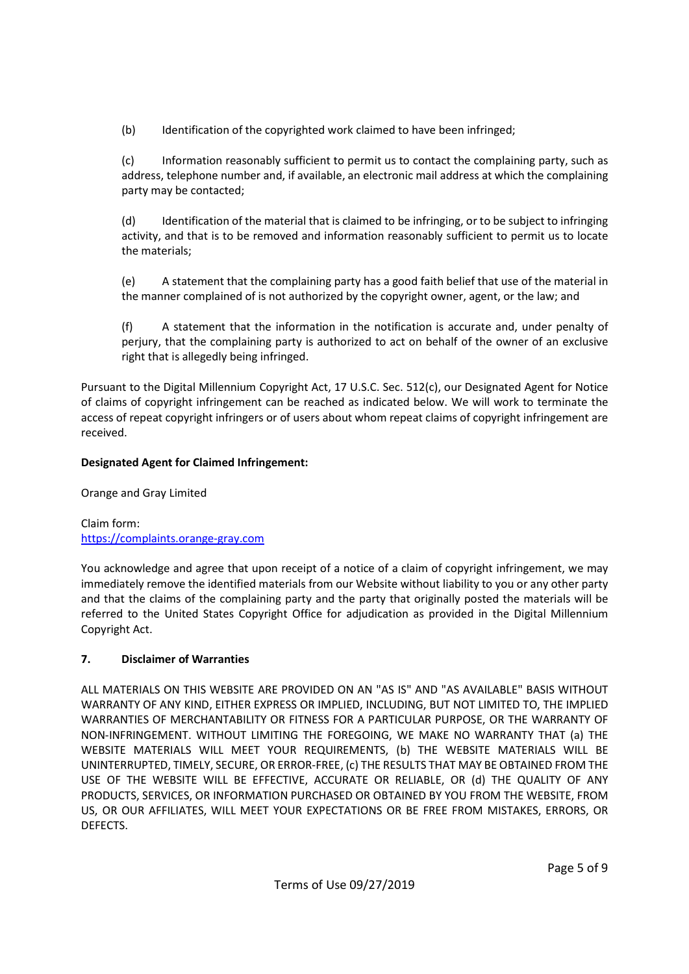(b) Identification of the copyrighted work claimed to have been infringed;

(c) Information reasonably sufficient to permit us to contact the complaining party, such as address, telephone number and, if available, an electronic mail address at which the complaining party may be contacted;

(d) Identification of the material that is claimed to be infringing, or to be subject to infringing activity, and that is to be removed and information reasonably sufficient to permit us to locate the materials;

(e) A statement that the complaining party has a good faith belief that use of the material in the manner complained of is not authorized by the copyright owner, agent, or the law; and

(f) A statement that the information in the notification is accurate and, under penalty of perjury, that the complaining party is authorized to act on behalf of the owner of an exclusive right that is allegedly being infringed.

Pursuant to the Digital Millennium Copyright Act, 17 U.S.C. Sec. 512(c), our Designated Agent for Notice of claims of copyright infringement can be reached as indicated below. We will work to terminate the access of repeat copyright infringers or of users about whom repeat claims of copyright infringement are received.

# Designated Agent for Claimed Infringement:

Orange and Gray Limited

Claim form: https://complaints.orange-gray.com

You acknowledge and agree that upon receipt of a notice of a claim of copyright infringement, we may immediately remove the identified materials from our Website without liability to you or any other party and that the claims of the complaining party and the party that originally posted the materials will be referred to the United States Copyright Office for adjudication as provided in the Digital Millennium Copyright Act.

## 7. Disclaimer of Warranties

ALL MATERIALS ON THIS WEBSITE ARE PROVIDED ON AN "AS IS" AND "AS AVAILABLE" BASIS WITHOUT WARRANTY OF ANY KIND, EITHER EXPRESS OR IMPLIED, INCLUDING, BUT NOT LIMITED TO, THE IMPLIED WARRANTIES OF MERCHANTABILITY OR FITNESS FOR A PARTICULAR PURPOSE, OR THE WARRANTY OF NON-INFRINGEMENT. WITHOUT LIMITING THE FOREGOING, WE MAKE NO WARRANTY THAT (a) THE WEBSITE MATERIALS WILL MEET YOUR REQUIREMENTS, (b) THE WEBSITE MATERIALS WILL BE UNINTERRUPTED, TIMELY, SECURE, OR ERROR-FREE, (c) THE RESULTS THAT MAY BE OBTAINED FROM THE USE OF THE WEBSITE WILL BE EFFECTIVE, ACCURATE OR RELIABLE, OR (d) THE QUALITY OF ANY PRODUCTS, SERVICES, OR INFORMATION PURCHASED OR OBTAINED BY YOU FROM THE WEBSITE, FROM US, OR OUR AFFILIATES, WILL MEET YOUR EXPECTATIONS OR BE FREE FROM MISTAKES, ERRORS, OR DEFECTS.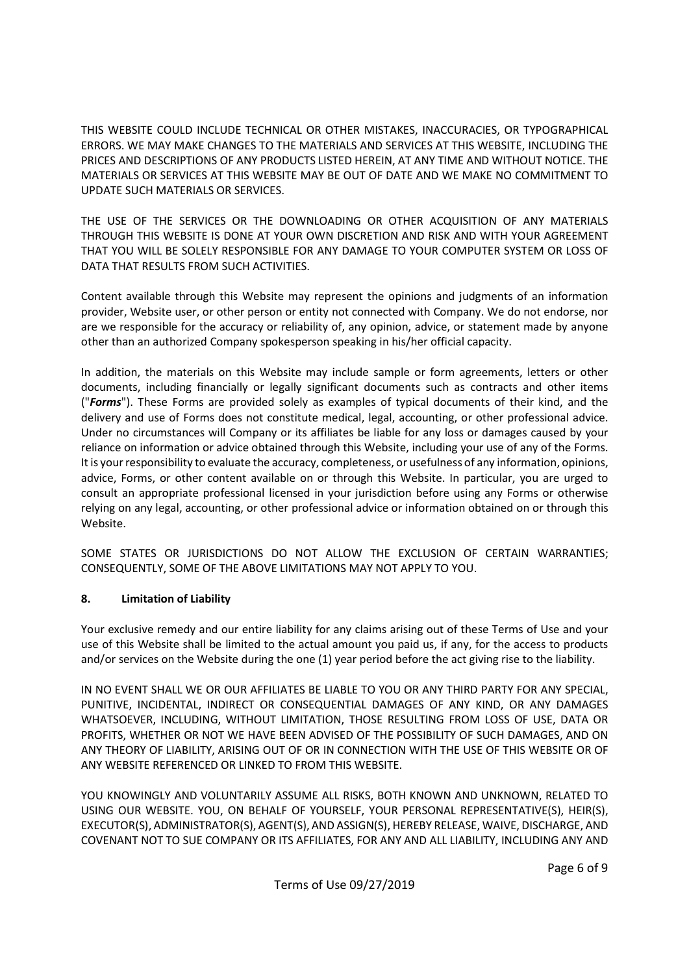THIS WEBSITE COULD INCLUDE TECHNICAL OR OTHER MISTAKES, INACCURACIES, OR TYPOGRAPHICAL ERRORS. WE MAY MAKE CHANGES TO THE MATERIALS AND SERVICES AT THIS WEBSITE, INCLUDING THE PRICES AND DESCRIPTIONS OF ANY PRODUCTS LISTED HEREIN, AT ANY TIME AND WITHOUT NOTICE. THE MATERIALS OR SERVICES AT THIS WEBSITE MAY BE OUT OF DATE AND WE MAKE NO COMMITMENT TO UPDATE SUCH MATERIALS OR SERVICES.

THE USE OF THE SERVICES OR THE DOWNLOADING OR OTHER ACQUISITION OF ANY MATERIALS THROUGH THIS WEBSITE IS DONE AT YOUR OWN DISCRETION AND RISK AND WITH YOUR AGREEMENT THAT YOU WILL BE SOLELY RESPONSIBLE FOR ANY DAMAGE TO YOUR COMPUTER SYSTEM OR LOSS OF DATA THAT RESULTS FROM SUCH ACTIVITIES.

Content available through this Website may represent the opinions and judgments of an information provider, Website user, or other person or entity not connected with Company. We do not endorse, nor are we responsible for the accuracy or reliability of, any opinion, advice, or statement made by anyone other than an authorized Company spokesperson speaking in his/her official capacity.

In addition, the materials on this Website may include sample or form agreements, letters or other documents, including financially or legally significant documents such as contracts and other items ("Forms"). These Forms are provided solely as examples of typical documents of their kind, and the delivery and use of Forms does not constitute medical, legal, accounting, or other professional advice. Under no circumstances will Company or its affiliates be liable for any loss or damages caused by your reliance on information or advice obtained through this Website, including your use of any of the Forms. It is your responsibility to evaluate the accuracy, completeness, or usefulness of any information, opinions, advice, Forms, or other content available on or through this Website. In particular, you are urged to consult an appropriate professional licensed in your jurisdiction before using any Forms or otherwise relying on any legal, accounting, or other professional advice or information obtained on or through this Website.

SOME STATES OR JURISDICTIONS DO NOT ALLOW THE EXCLUSION OF CERTAIN WARRANTIES; CONSEQUENTLY, SOME OF THE ABOVE LIMITATIONS MAY NOT APPLY TO YOU.

## 8. Limitation of Liability

Your exclusive remedy and our entire liability for any claims arising out of these Terms of Use and your use of this Website shall be limited to the actual amount you paid us, if any, for the access to products and/or services on the Website during the one (1) year period before the act giving rise to the liability.

IN NO EVENT SHALL WE OR OUR AFFILIATES BE LIABLE TO YOU OR ANY THIRD PARTY FOR ANY SPECIAL, PUNITIVE, INCIDENTAL, INDIRECT OR CONSEQUENTIAL DAMAGES OF ANY KIND, OR ANY DAMAGES WHATSOEVER, INCLUDING, WITHOUT LIMITATION, THOSE RESULTING FROM LOSS OF USE, DATA OR PROFITS, WHETHER OR NOT WE HAVE BEEN ADVISED OF THE POSSIBILITY OF SUCH DAMAGES, AND ON ANY THEORY OF LIABILITY, ARISING OUT OF OR IN CONNECTION WITH THE USE OF THIS WEBSITE OR OF ANY WEBSITE REFERENCED OR LINKED TO FROM THIS WEBSITE.

YOU KNOWINGLY AND VOLUNTARILY ASSUME ALL RISKS, BOTH KNOWN AND UNKNOWN, RELATED TO USING OUR WEBSITE. YOU, ON BEHALF OF YOURSELF, YOUR PERSONAL REPRESENTATIVE(S), HEIR(S), EXECUTOR(S), ADMINISTRATOR(S), AGENT(S), AND ASSIGN(S), HEREBY RELEASE, WAIVE, DISCHARGE, AND COVENANT NOT TO SUE COMPANY OR ITS AFFILIATES, FOR ANY AND ALL LIABILITY, INCLUDING ANY AND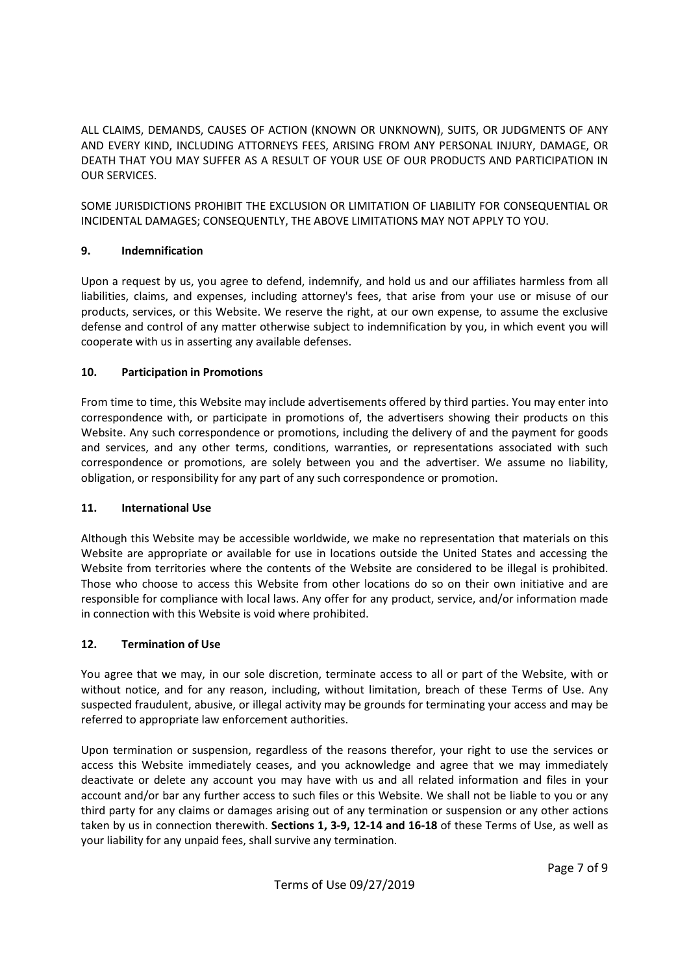ALL CLAIMS, DEMANDS, CAUSES OF ACTION (KNOWN OR UNKNOWN), SUITS, OR JUDGMENTS OF ANY AND EVERY KIND, INCLUDING ATTORNEYS FEES, ARISING FROM ANY PERSONAL INJURY, DAMAGE, OR DEATH THAT YOU MAY SUFFER AS A RESULT OF YOUR USE OF OUR PRODUCTS AND PARTICIPATION IN OUR SERVICES.

SOME JURISDICTIONS PROHIBIT THE EXCLUSION OR LIMITATION OF LIABILITY FOR CONSEQUENTIAL OR INCIDENTAL DAMAGES; CONSEQUENTLY, THE ABOVE LIMITATIONS MAY NOT APPLY TO YOU.

## 9. Indemnification

Upon a request by us, you agree to defend, indemnify, and hold us and our affiliates harmless from all liabilities, claims, and expenses, including attorney's fees, that arise from your use or misuse of our products, services, or this Website. We reserve the right, at our own expense, to assume the exclusive defense and control of any matter otherwise subject to indemnification by you, in which event you will cooperate with us in asserting any available defenses.

### 10. Participation in Promotions

From time to time, this Website may include advertisements offered by third parties. You may enter into correspondence with, or participate in promotions of, the advertisers showing their products on this Website. Any such correspondence or promotions, including the delivery of and the payment for goods and services, and any other terms, conditions, warranties, or representations associated with such correspondence or promotions, are solely between you and the advertiser. We assume no liability, obligation, or responsibility for any part of any such correspondence or promotion.

#### 11. International Use

Although this Website may be accessible worldwide, we make no representation that materials on this Website are appropriate or available for use in locations outside the United States and accessing the Website from territories where the contents of the Website are considered to be illegal is prohibited. Those who choose to access this Website from other locations do so on their own initiative and are responsible for compliance with local laws. Any offer for any product, service, and/or information made in connection with this Website is void where prohibited.

#### 12. Termination of Use

You agree that we may, in our sole discretion, terminate access to all or part of the Website, with or without notice, and for any reason, including, without limitation, breach of these Terms of Use. Any suspected fraudulent, abusive, or illegal activity may be grounds for terminating your access and may be referred to appropriate law enforcement authorities.

Upon termination or suspension, regardless of the reasons therefor, your right to use the services or access this Website immediately ceases, and you acknowledge and agree that we may immediately deactivate or delete any account you may have with us and all related information and files in your account and/or bar any further access to such files or this Website. We shall not be liable to you or any third party for any claims or damages arising out of any termination or suspension or any other actions taken by us in connection therewith. Sections 1, 3-9, 12-14 and 16-18 of these Terms of Use, as well as your liability for any unpaid fees, shall survive any termination.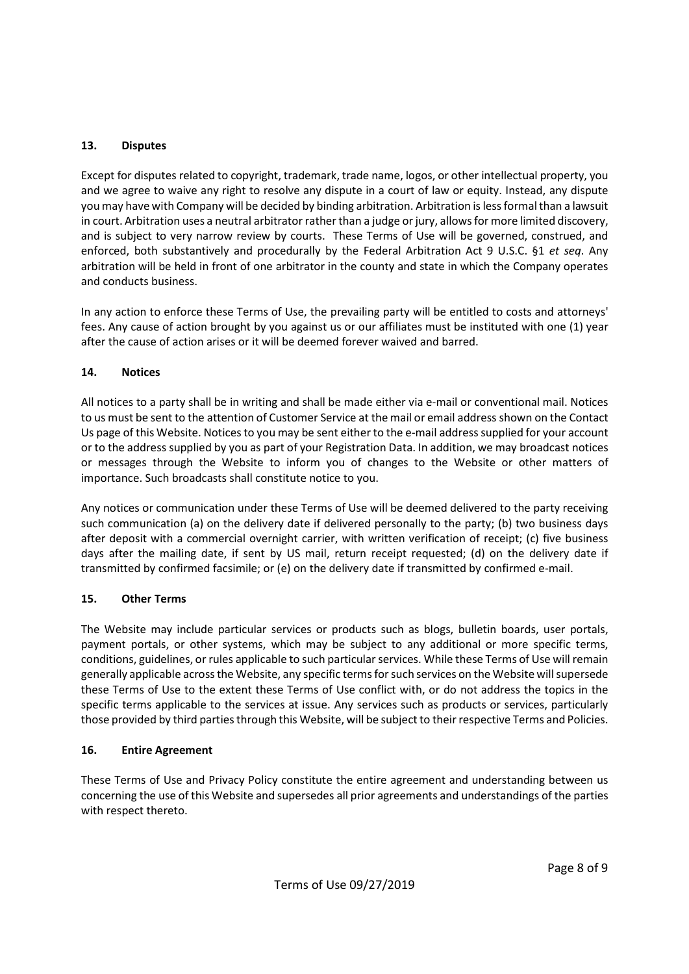## 13. Disputes

Except for disputes related to copyright, trademark, trade name, logos, or other intellectual property, you and we agree to waive any right to resolve any dispute in a court of law or equity. Instead, any dispute you may have with Company will be decided by binding arbitration. Arbitration is less formal than a lawsuit in court. Arbitration uses a neutral arbitrator rather than a judge or jury, allows for more limited discovery, and is subject to very narrow review by courts. These Terms of Use will be governed, construed, and enforced, both substantively and procedurally by the Federal Arbitration Act 9 U.S.C. §1 et seq. Any arbitration will be held in front of one arbitrator in the county and state in which the Company operates and conducts business.

In any action to enforce these Terms of Use, the prevailing party will be entitled to costs and attorneys' fees. Any cause of action brought by you against us or our affiliates must be instituted with one (1) year after the cause of action arises or it will be deemed forever waived and barred.

### 14. Notices

All notices to a party shall be in writing and shall be made either via e-mail or conventional mail. Notices to us must be sent to the attention of Customer Service at the mail or email address shown on the Contact Us page of this Website. Notices to you may be sent either to the e-mail address supplied for your account or to the address supplied by you as part of your Registration Data. In addition, we may broadcast notices or messages through the Website to inform you of changes to the Website or other matters of importance. Such broadcasts shall constitute notice to you.

Any notices or communication under these Terms of Use will be deemed delivered to the party receiving such communication (a) on the delivery date if delivered personally to the party; (b) two business days after deposit with a commercial overnight carrier, with written verification of receipt; (c) five business days after the mailing date, if sent by US mail, return receipt requested; (d) on the delivery date if transmitted by confirmed facsimile; or (e) on the delivery date if transmitted by confirmed e-mail.

## 15. Other Terms

The Website may include particular services or products such as blogs, bulletin boards, user portals, payment portals, or other systems, which may be subject to any additional or more specific terms, conditions, guidelines, or rules applicable to such particular services. While these Terms of Use will remain generally applicable across the Website, any specific terms for such services on the Website will supersede these Terms of Use to the extent these Terms of Use conflict with, or do not address the topics in the specific terms applicable to the services at issue. Any services such as products or services, particularly those provided by third parties through this Website, will be subject to their respective Terms and Policies.

#### 16. Entire Agreement

These Terms of Use and Privacy Policy constitute the entire agreement and understanding between us concerning the use of this Website and supersedes all prior agreements and understandings of the parties with respect thereto.